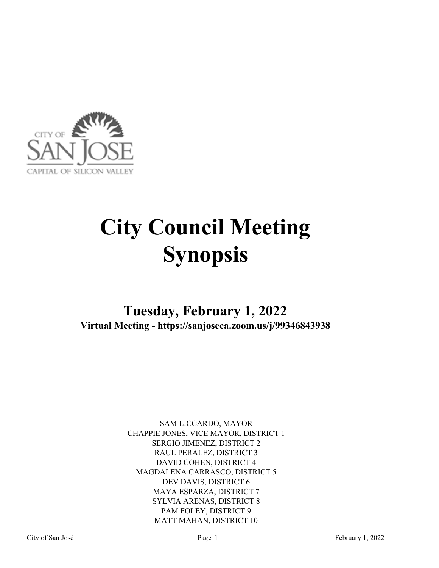

# **City Council Meeting Synopsis**

## **Tuesday, February 1, 2022 Virtual Meeting - https://sanjoseca.zoom.us/j/99346843938**

SAM LICCARDO, MAYOR CHAPPIE JONES, VICE MAYOR, DISTRICT 1 SERGIO JIMENEZ, DISTRICT 2 RAUL PERALEZ, DISTRICT 3 DAVID COHEN, DISTRICT 4 MAGDALENA CARRASCO, DISTRICT 5 DEV DAVIS, DISTRICT 6 MAYA ESPARZA, DISTRICT 7 SYLVIA ARENAS, DISTRICT 8 PAM FOLEY, DISTRICT 9 MATT MAHAN, DISTRICT 10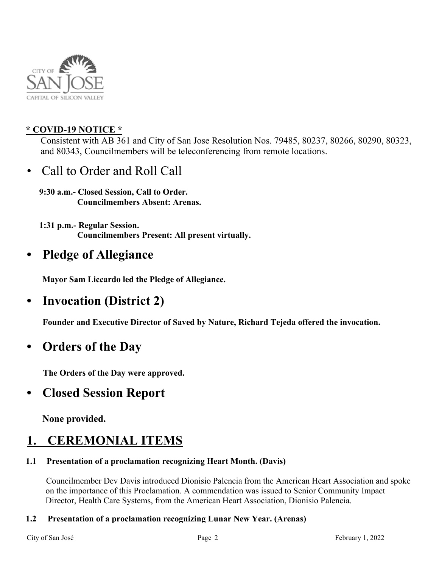

## **\* COVID-19 NOTICE \***

 Consistent with AB 361 and City of San Jose Resolution Nos. 79485, 80237, 80266, 80290, 80323, and 80343, Councilmembers will be teleconferencing from remote locations.

• Call to Order and Roll Call

**9:30 a.m.- Closed Session, Call to Order. Councilmembers Absent: Arenas.**

**1:31 p.m.- Regular Session. Councilmembers Present: All present virtually.**

## **• Pledge of Allegiance**

 **Mayor Sam Liccardo led the Pledge of Allegiance.**

## **• Invocation (District 2)**

**Founder and Executive Director of Saved by Nature, Richard Tejeda offered the invocation.** 

## **• Orders of the Day**

 **The Orders of the Day were approved.** 

## **• Closed Session Report**

 **None provided.** 

## **1. CEREMONIAL ITEMS**

### **1.1 Presentation of a proclamation recognizing Heart Month. (Davis)**

Councilmember Dev Davis introduced Dionisio Palencia from the American Heart Association and spoke on the importance of this Proclamation. A commendation was issued to Senior Community Impact Director, Health Care Systems, from the American Heart Association, Dionisio Palencia.

### **1.2 Presentation of a proclamation recognizing Lunar New Year. (Arenas)**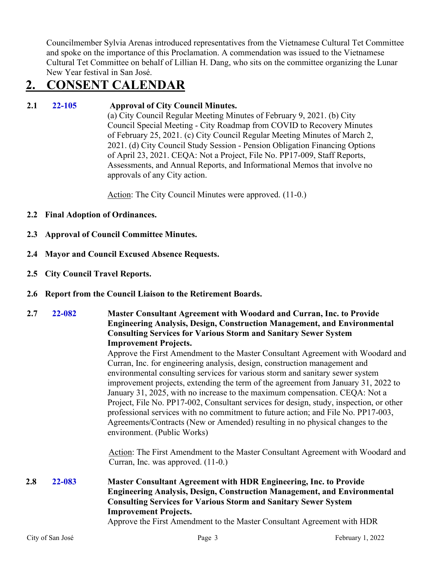Councilmember Sylvia Arenas introduced representatives from the Vietnamese Cultural Tet Committee and spoke on the importance of this Proclamation. A commendation was issued to the Vietnamese Cultural Tet Committee on behalf of Lillian H. Dang, who sits on the committee organizing the Lunar New Year festival in San José.

## **2. CONSENT CALENDAR**

## **2.1 22-105 Approval of City Council Minutes.**

(a) City Council Regular Meeting Minutes of February 9, 2021. (b) City Council Special Meeting - City Roadmap from COVID to Recovery Minutes of February 25, 2021. (c) City Council Regular Meeting Minutes of March 2, 2021. (d) City Council Study Session - Pension Obligation Financing Options of April 23, 2021. CEQA: Not a Project, File No. PP17-009, Staff Reports, Assessments, and Annual Reports, and Informational Memos that involve no approvals of any City action.

Action: The City Council Minutes were approved. (11-0.)

- **2.2 Final Adoption of Ordinances.**
- **2.3 Approval of Council Committee Minutes.**
- **2.4 Mayor and Council Excused Absence Requests.**
- **2.5 City Council Travel Reports.**
- **2.6 Report from the Council Liaison to the Retirement Boards.**

### **2.7 22-082 Master Consultant Agreement with Woodard and Curran, Inc. to Provide Engineering Analysis, Design, Construction Management, and Environmental Consulting Services for Various Storm and Sanitary Sewer System Improvement Projects.**

Approve the First Amendment to the Master Consultant Agreement with Woodard and Curran, Inc. for engineering analysis, design, construction management and environmental consulting services for various storm and sanitary sewer system improvement projects, extending the term of the agreement from January 31, 2022 to January 31, 2025, with no increase to the maximum compensation. CEQA: Not a Project, File No. PP17-002, Consultant services for design, study, inspection, or other professional services with no commitment to future action; and File No. PP17-003, Agreements/Contracts (New or Amended) resulting in no physical changes to the environment. (Public Works)

Action: The First Amendment to the Master Consultant Agreement with Woodard and Curran, Inc. was approved. (11-0.)

## **2.8 22-083 Master Consultant Agreement with HDR Engineering, Inc. to Provide Engineering Analysis, Design, Construction Management, and Environmental Consulting Services for Various Storm and Sanitary Sewer System Improvement Projects.**

Approve the First Amendment to the Master Consultant Agreement with HDR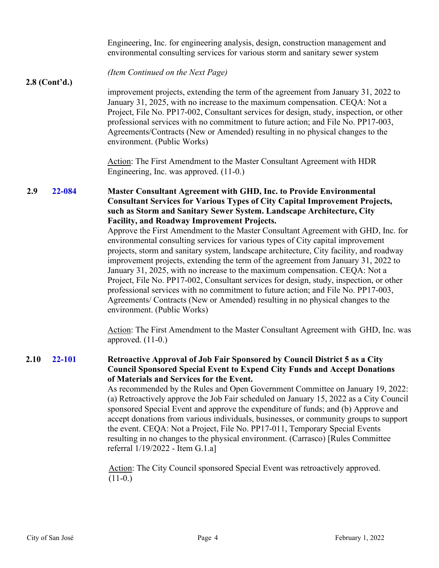|                 |        | Engineering, Inc. for engineering analysis, design, construction management and<br>environmental consulting services for various storm and sanitary sewer system                                                                                                                                                                                                                                                                                                                                                                                                                                                                                                                                                                                                                                                                                                                                                                                                                                                                                                                                                                                     |
|-----------------|--------|------------------------------------------------------------------------------------------------------------------------------------------------------------------------------------------------------------------------------------------------------------------------------------------------------------------------------------------------------------------------------------------------------------------------------------------------------------------------------------------------------------------------------------------------------------------------------------------------------------------------------------------------------------------------------------------------------------------------------------------------------------------------------------------------------------------------------------------------------------------------------------------------------------------------------------------------------------------------------------------------------------------------------------------------------------------------------------------------------------------------------------------------------|
| $2.8$ (Cont'd.) |        | (Item Continued on the Next Page)                                                                                                                                                                                                                                                                                                                                                                                                                                                                                                                                                                                                                                                                                                                                                                                                                                                                                                                                                                                                                                                                                                                    |
|                 |        | improvement projects, extending the term of the agreement from January 31, 2022 to<br>January 31, 2025, with no increase to the maximum compensation. CEQA: Not a<br>Project, File No. PP17-002, Consultant services for design, study, inspection, or other<br>professional services with no commitment to future action; and File No. PP17-003,<br>Agreements/Contracts (New or Amended) resulting in no physical changes to the<br>environment. (Public Works)                                                                                                                                                                                                                                                                                                                                                                                                                                                                                                                                                                                                                                                                                    |
|                 |        | Action: The First Amendment to the Master Consultant Agreement with HDR<br>Engineering, Inc. was approved. (11-0.)                                                                                                                                                                                                                                                                                                                                                                                                                                                                                                                                                                                                                                                                                                                                                                                                                                                                                                                                                                                                                                   |
| 2.9             | 22-084 | <b>Master Consultant Agreement with GHD, Inc. to Provide Environmental</b><br><b>Consultant Services for Various Types of City Capital Improvement Projects,</b><br>such as Storm and Sanitary Sewer System. Landscape Architecture, City<br><b>Facility, and Roadway Improvement Projects.</b><br>Approve the First Amendment to the Master Consultant Agreement with GHD, Inc. for<br>environmental consulting services for various types of City capital improvement<br>projects, storm and sanitary system, landscape architecture, City facility, and roadway<br>improvement projects, extending the term of the agreement from January 31, 2022 to<br>January 31, 2025, with no increase to the maximum compensation. CEQA: Not a<br>Project, File No. PP17-002, Consultant services for design, study, inspection, or other<br>professional services with no commitment to future action; and File No. PP17-003,<br>Agreements/ Contracts (New or Amended) resulting in no physical changes to the<br>environment. (Public Works)<br>Action: The First Amendment to the Master Consultant Agreement with GHD, Inc. was<br>approved. $(11-0.)$ |
| 2.10            | 22-101 | Retroactive Approval of Job Fair Sponsored by Council District 5 as a City<br><b>Council Sponsored Special Event to Expend City Funds and Accept Donations</b><br>of Materials and Services for the Event.<br>As recommended by the Rules and Open Government Committee on January 19, 2022:<br>(a) Retroactively approve the Job Fair scheduled on January 15, 2022 as a City Council<br>sponsored Special Event and approve the expenditure of funds; and (b) Approve and<br>accept donations from various individuals, businesses, or community groups to support<br>the event. CEQA: Not a Project, File No. PP17-011, Temporary Special Events<br>resulting in no changes to the physical environment. (Carrasco) [Rules Committee]<br>referral 1/19/2022 - Item G.1.a]<br>Action: The City Council sponsored Special Event was retroactively approved.<br>$(11-0.)$                                                                                                                                                                                                                                                                            |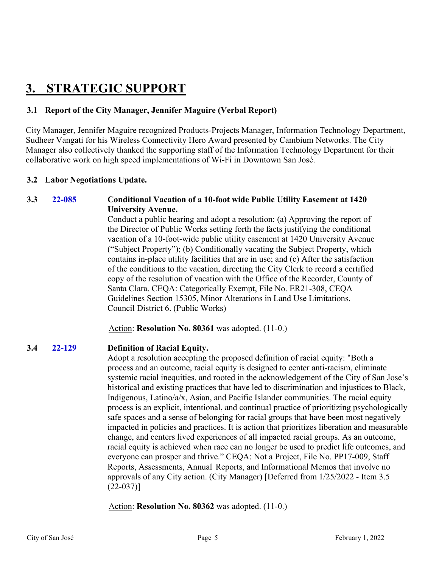## **3. STRATEGIC SUPPORT**

## **3.1 Report of the City Manager, Jennifer Maguire (Verbal Report)**

City Manager, Jennifer Maguire recognized Products-Projects Manager, Information Technology Department, Sudheer Vangati for his Wireless Connectivity Hero Award presented by Cambium Networks. The City Manager also collectively thanked the supporting staff of the Information Technology Department for their collaborative work on high speed implementations of Wi-Fi in Downtown San José.

### **3.2 Labor Negotiations Update.**

### **3.3 22-085 Conditional Vacation of a 10-foot wide Public Utility Easement at 1420 University Avenue.**

Conduct a public hearing and adopt a resolution: (a) Approving the report of the Director of Public Works setting forth the facts justifying the conditional vacation of a 10-foot-wide public utility easement at 1420 University Avenue ("Subject Property"); (b) Conditionally vacating the Subject Property, which contains in-place utility facilities that are in use; and (c) After the satisfaction of the conditions to the vacation, directing the City Clerk to record a certified copy of the resolution of vacation with the Office of the Recorder, County of Santa Clara. CEQA: Categorically Exempt, File No. ER21-308, CEQA Guidelines Section 15305, Minor Alterations in Land Use Limitations. Council District 6. (Public Works)

Action: **Resolution No. 80361** was adopted. (11-0.)

### **3.4 22-129 Definition of Racial Equity.**

Adopt a resolution accepting the proposed definition of racial equity: "Both a process and an outcome, racial equity is designed to center anti-racism, eliminate systemic racial inequities, and rooted in the acknowledgement of the City of San Jose's historical and existing practices that have led to discrimination and injustices to Black, Indigenous, Latino/a/x, Asian, and Pacific Islander communities. The racial equity process is an explicit, intentional, and continual practice of prioritizing psychologically safe spaces and a sense of belonging for racial groups that have been most negatively impacted in policies and practices. It is action that prioritizes liberation and measurable change, and centers lived experiences of all impacted racial groups. As an outcome, racial equity is achieved when race can no longer be used to predict life outcomes, and everyone can prosper and thrive." CEQA: Not a Project, File No. PP17-009, Staff Reports, Assessments, Annual Reports, and Informational Memos that involve no approvals of any City action. (City Manager) [Deferred from 1/25/2022 - Item 3.5 (22-037)]

Action: **Resolution No. 80362** was adopted. (11-0.)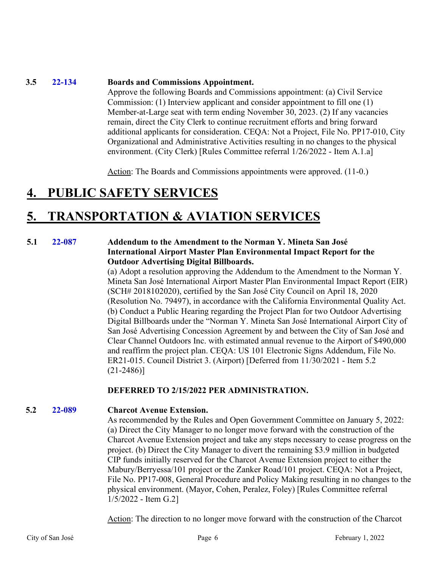### **3.5 22-134 Boards and Commissions Appointment.**

Approve the following Boards and Commissions appointment: (a) Civil Service Commission: (1) Interview applicant and consider appointment to fill one (1) Member-at-Large seat with term ending November 30, 2023. (2) If any vacancies remain, direct the City Clerk to continue recruitment efforts and bring forward additional applicants for consideration. CEQA: Not a Project, File No. PP17-010, City Organizational and Administrative Activities resulting in no changes to the physical environment. (City Clerk) [Rules Committee referral 1/26/2022 - Item A.1.a]

Action: The Boards and Commissions appointments were approved. (11-0.)

## **4. PUBLIC SAFETY SERVICES**

## **5. TRANSPORTATION & AVIATION SERVICES**

### **5.1 22-087 Addendum to the Amendment to the Norman Y. Mineta San José International Airport Master Plan Environmental Impact Report for the Outdoor Advertising Digital Billboards.**

(a) Adopt a resolution approving the Addendum to the Amendment to the Norman Y. Mineta San José International Airport Master Plan Environmental Impact Report (EIR) (SCH# 2018102020), certified by the San José City Council on April 18, 2020 (Resolution No. 79497), in accordance with the California Environmental Quality Act. (b) Conduct a Public Hearing regarding the Project Plan for two Outdoor Advertising Digital Billboards under the "Norman Y. Mineta San José International Airport City of San José Advertising Concession Agreement by and between the City of San José and Clear Channel Outdoors Inc. with estimated annual revenue to the Airport of \$490,000 and reaffirm the project plan. CEQA: US 101 Electronic Signs Addendum, File No. ER21-015. Council District 3. (Airport) [Deferred from 11/30/2021 - Item 5.2 (21-2486)]

### **DEFERRED TO 2/15/2022 PER ADMINISTRATION.**

### **5.2 22-089 Charcot Avenue Extension.**

As recommended by the Rules and Open Government Committee on January 5, 2022: (a) Direct the City Manager to no longer move forward with the construction of the Charcot Avenue Extension project and take any steps necessary to cease progress on the project. (b) Direct the City Manager to divert the remaining \$3.9 million in budgeted CIP funds initially reserved for the Charcot Avenue Extension project to either the Mabury/Berryessa/101 project or the Zanker Road/101 project. CEQA: Not a Project, File No. PP17-008, General Procedure and Policy Making resulting in no changes to the physical environment. (Mayor, Cohen, Peralez, Foley) [Rules Committee referral 1/5/2022 - Item G.2]

Action: The direction to no longer move forward with the construction of the Charcot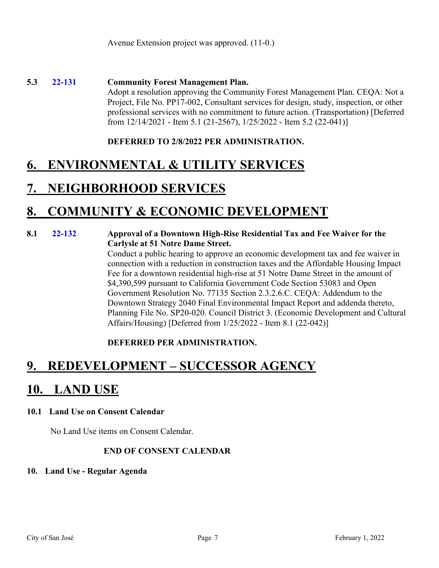### **5.3 22-131 Community Forest Management Plan.**

Adopt a resolution approving the Community Forest Management Plan. CEQA: Not a Project, File No. PP17-002, Consultant services for design, study, inspection, or other professional services with no commitment to future action. (Transportation) [Deferred from 12/14/2021 - Item 5.1 (21-2567), 1/25/2022 - Item 5.2 (22-041)]

### **DEFERRED TO 2/8/2022 PER ADMINISTRATION.**

## **6. ENVIRONMENTAL & UTILITY SERVICES**

## **7. NEIGHBORHOOD SERVICES**

## **8. COMMUNITY & ECONOMIC DEVELOPMENT**

### **8.1 22-132 Approval of a Downtown High-Rise Residential Tax and Fee Waiver for the Carlysle at 51 Notre Dame Street.**

Conduct a public hearing to approve an economic development tax and fee waiver in connection with a reduction in construction taxes and the Affordable Housing Impact Fee for a downtown residential high-rise at 51 Notre Dame Street in the amount of \$4,390,599 pursuant to California Government Code Section 53083 and Open Government Resolution No. 77135 Section 2.3.2.6.C. CEQA: Addendum to the Downtown Strategy 2040 Final Environmental Impact Report and addenda thereto, Planning File No. SP20-020. Council District 3. (Economic Development and Cultural Affairs/Housing) [Deferred from 1/25/2022 - Item 8.1 (22-042)]

## **DEFERRED PER ADMINISTRATION.**

## **9. REDEVELOPMENT – SUCCESSOR AGENCY**

## **10. LAND USE**

### **10.1 Land Use on Consent Calendar**

No Land Use items on Consent Calendar.

### **END OF CONSENT CALENDAR**

### **10. Land Use - Regular Agenda**